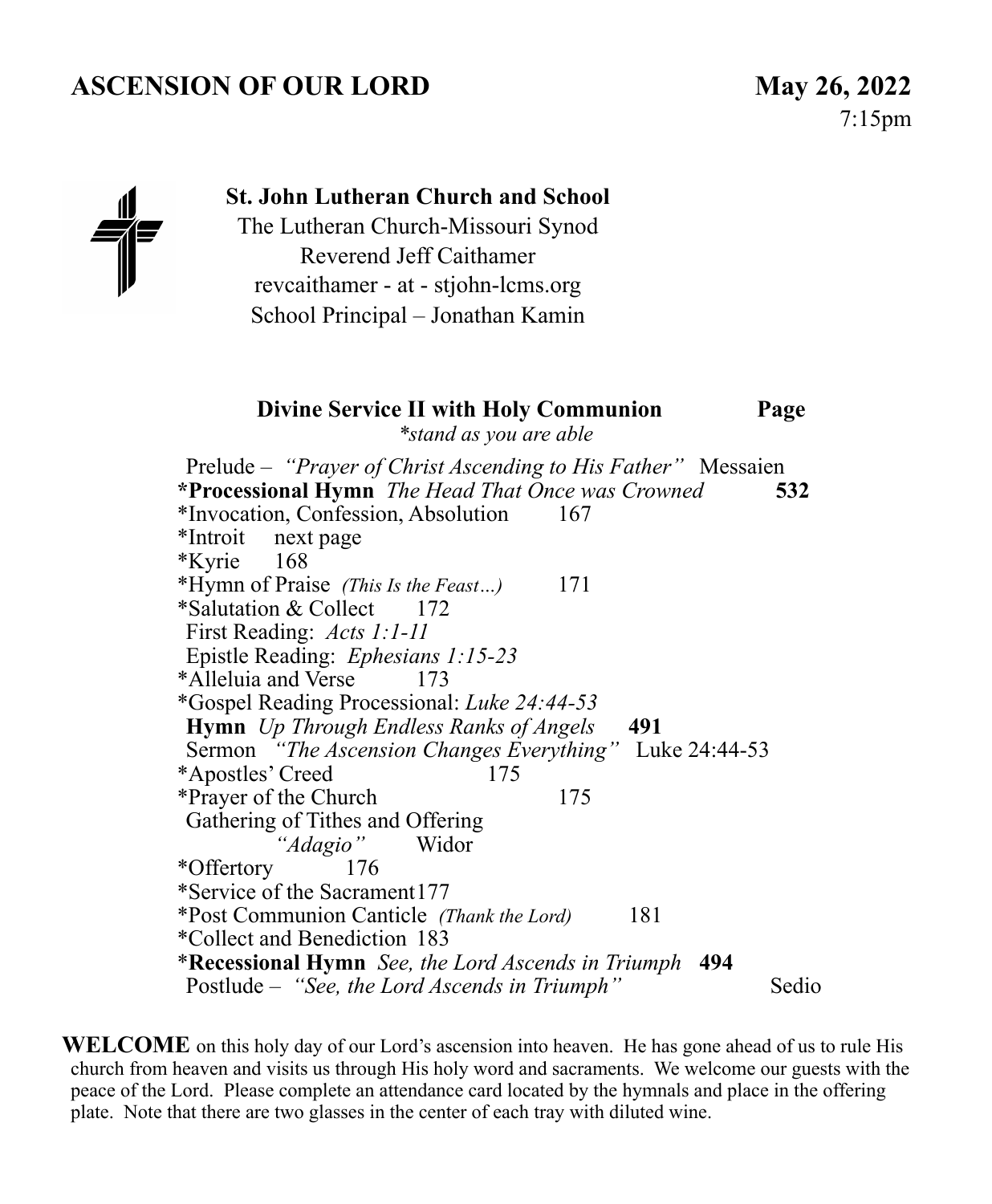# **ASCENSION OF OUR LORD May 26, 2022**



### **St. John Lutheran Church and School**

The Lutheran Church-Missouri Synod Reverend Jeff Caithamer revcaithamer - at - stjohn-lcms.org School Principal – Jonathan Kamin

### **Divine Service II with Holy Communion Page**  *\*stand as you are able*

Prelude – *"Prayer of Christ Ascending to His Father"* Messaien **\*Processional Hymn** *The Head That Once was Crowned* **532** \*Invocation, Confession, Absolution167 \*Introit next page \*Kyrie 168 \*Hymn of Praise *(This Is the Feast…)* 171 \*Salutation & Collect 172 First Reading: *Acts 1:1-11*  Epistle Reading: *Ephesians 1:15-23*  \*Alleluia and Verse 173 \*Gospel Reading Processional: *Luke 24:44-53* **Hymn** *Up Through Endless Ranks of Angels* **491**  Sermon *"The Ascension Changes Everything"* Luke 24:44-53 \*Apostles' Creed 175 \*Prayer of the Church 175 Gathering of Tithes and Offering<br>
"Adagio" Widor *"Adagio"* \*Offertory 176 \*Service of the Sacrament 177 \*Post Communion Canticle *(Thank the Lord)* 181 \*Collect and Benediction 183 \***Recessional Hymn** *See, the Lord Ascends in Triumph* **494**  Postlude – "See, the Lord Ascends in Triumph" Sedio

**WELCOME** on this holy day of our Lord's ascension into heaven. He has gone ahead of us to rule His church from heaven and visits us through His holy word and sacraments. We welcome our guests with the peace of the Lord. Please complete an attendance card located by the hymnals and place in the offering plate. Note that there are two glasses in the center of each tray with diluted wine.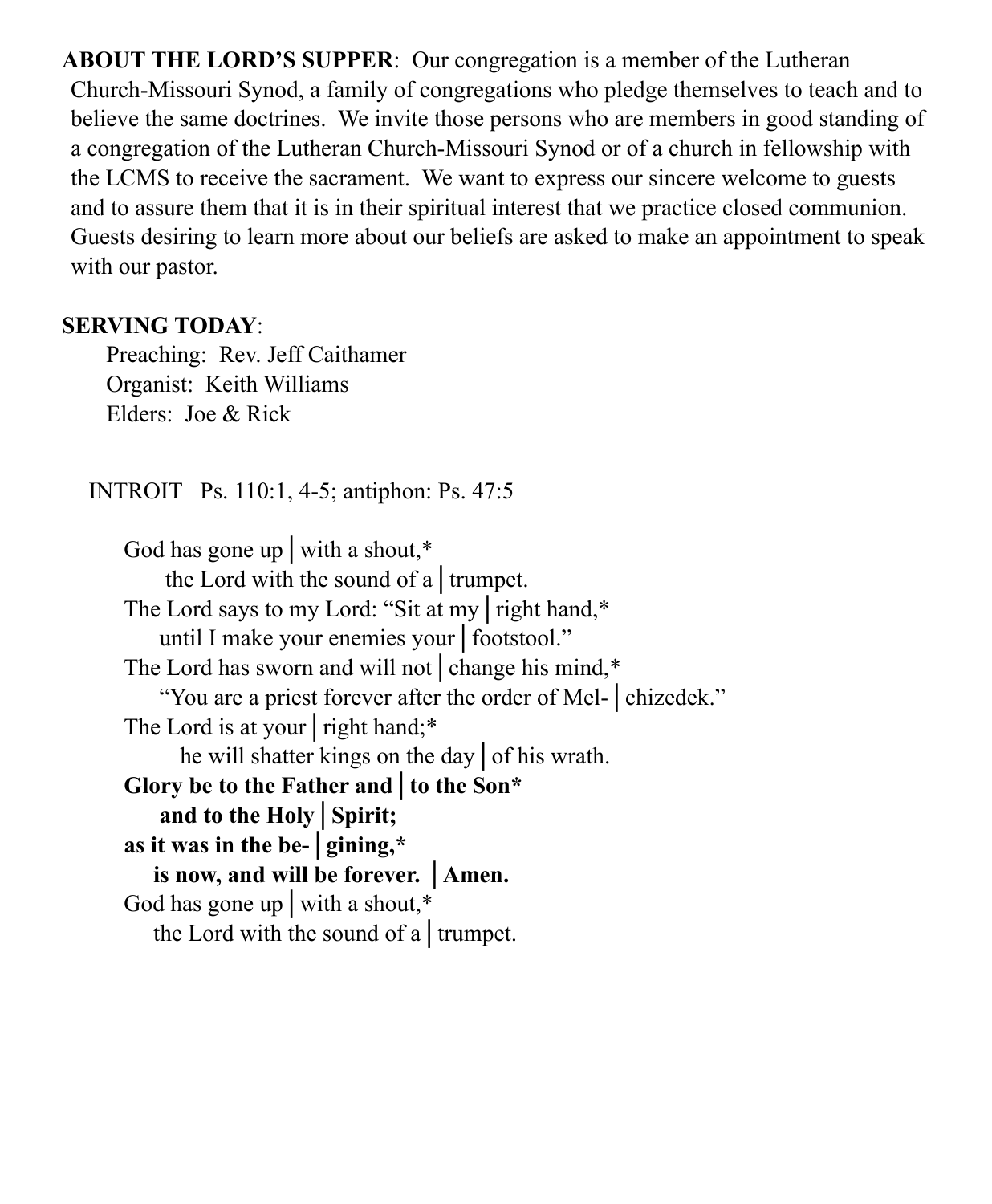**ABOUT THE LORD'S SUPPER**: Our congregation is a member of the Lutheran Church-Missouri Synod, a family of congregations who pledge themselves to teach and to believe the same doctrines. We invite those persons who are members in good standing of a congregation of the Lutheran Church-Missouri Synod or of a church in fellowship with the LCMS to receive the sacrament. We want to express our sincere welcome to guests and to assure them that it is in their spiritual interest that we practice closed communion. Guests desiring to learn more about our beliefs are asked to make an appointment to speak with our pastor.

## **SERVING TODAY**:

 Preaching: Rev. Jeff Caithamer Organist: Keith Williams Elders: Joe & Rick

INTROIT Ps. 110:1, 4-5; antiphon: Ps. 47:5

God has gone up with a shout,<sup>\*</sup> the Lord with the sound of a│trumpet. The Lord says to my Lord: "Sit at my | right hand,\* until I make your enemies your│footstool." The Lord has sworn and will not | change his mind,\* "You are a priest forever after the order of Mel-│chizedek." The Lord is at your right hand;<sup>\*</sup> he will shatter kings on the day│of his wrath. **Glory be to the Father and│to the Son\* and to the Holy│Spirit; as it was in the be-│gining,\* is now, and will be forever. │Amen.**  God has gone up│with a shout,\* the Lord with the sound of a│trumpet.